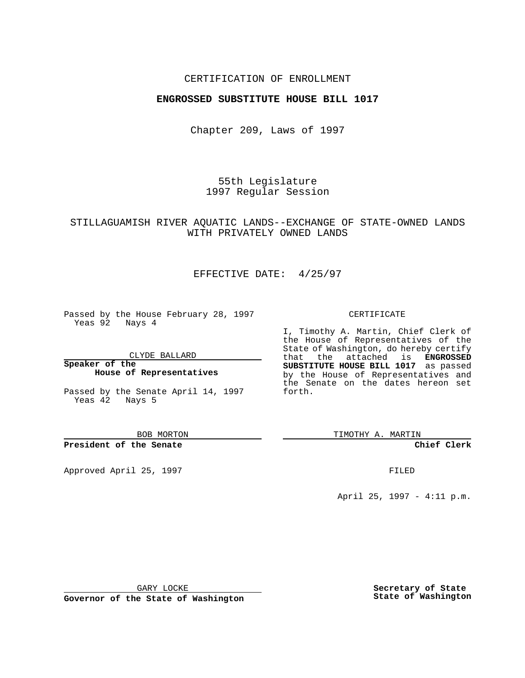### CERTIFICATION OF ENROLLMENT

### **ENGROSSED SUBSTITUTE HOUSE BILL 1017**

Chapter 209, Laws of 1997

55th Legislature 1997 Regular Session

## STILLAGUAMISH RIVER AQUATIC LANDS--EXCHANGE OF STATE-OWNED LANDS WITH PRIVATELY OWNED LANDS

# EFFECTIVE DATE: 4/25/97

Passed by the House February 28, 1997 Yeas 92 Nays 4

CLYDE BALLARD

**Speaker of the House of Representatives**

Passed by the Senate April 14, 1997 Yeas 42 Nays 5

BOB MORTON

#### **President of the Senate**

Approved April 25, 1997 **FILED** 

#### CERTIFICATE

I, Timothy A. Martin, Chief Clerk of the House of Representatives of the State of Washington, do hereby certify that the attached is **ENGROSSED SUBSTITUTE HOUSE BILL 1017** as passed by the House of Representatives and the Senate on the dates hereon set forth.

TIMOTHY A. MARTIN

**Chief Clerk**

April 25, 1997 - 4:11 p.m.

GARY LOCKE

**Governor of the State of Washington**

**Secretary of State State of Washington**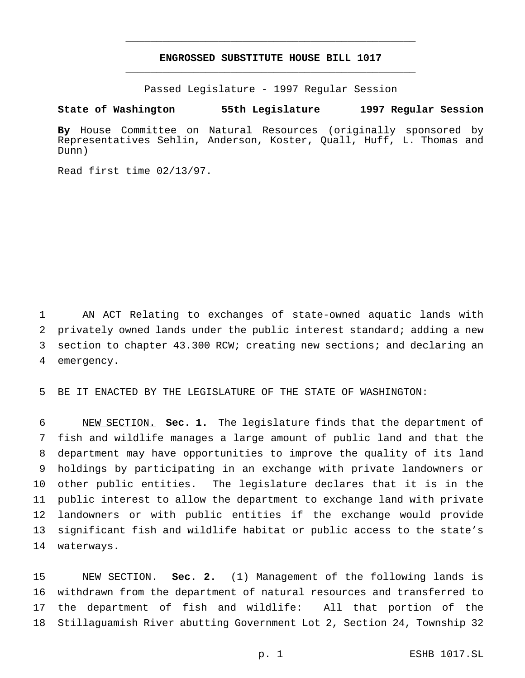# **ENGROSSED SUBSTITUTE HOUSE BILL 1017** \_\_\_\_\_\_\_\_\_\_\_\_\_\_\_\_\_\_\_\_\_\_\_\_\_\_\_\_\_\_\_\_\_\_\_\_\_\_\_\_\_\_\_\_\_\_\_

\_\_\_\_\_\_\_\_\_\_\_\_\_\_\_\_\_\_\_\_\_\_\_\_\_\_\_\_\_\_\_\_\_\_\_\_\_\_\_\_\_\_\_\_\_\_\_

Passed Legislature - 1997 Regular Session

**State of Washington 55th Legislature 1997 Regular Session**

**By** House Committee on Natural Resources (originally sponsored by Representatives Sehlin, Anderson, Koster, Quall, Huff, L. Thomas and Dunn)

Read first time 02/13/97.

 AN ACT Relating to exchanges of state-owned aquatic lands with privately owned lands under the public interest standard; adding a new section to chapter 43.300 RCW; creating new sections; and declaring an emergency.

BE IT ENACTED BY THE LEGISLATURE OF THE STATE OF WASHINGTON:

 NEW SECTION. **Sec. 1.** The legislature finds that the department of fish and wildlife manages a large amount of public land and that the department may have opportunities to improve the quality of its land holdings by participating in an exchange with private landowners or other public entities. The legislature declares that it is in the public interest to allow the department to exchange land with private landowners or with public entities if the exchange would provide significant fish and wildlife habitat or public access to the state's waterways.

 NEW SECTION. **Sec. 2.** (1) Management of the following lands is withdrawn from the department of natural resources and transferred to the department of fish and wildlife: All that portion of the Stillaguamish River abutting Government Lot 2, Section 24, Township 32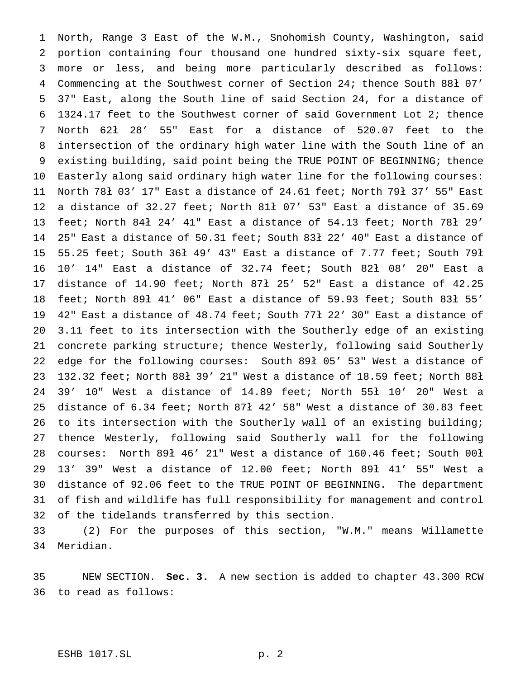North, Range 3 East of the W.M., Snohomish County, Washington, said portion containing four thousand one hundred sixty-six square feet, more or less, and being more particularly described as follows: Commencing at the Southwest corner of Section 24; thence South 88ł 07' 37" East, along the South line of said Section 24, for a distance of 1324.17 feet to the Southwest corner of said Government Lot 2; thence North 62ł 28' 55" East for a distance of 520.07 feet to the intersection of the ordinary high water line with the South line of an existing building, said point being the TRUE POINT OF BEGINNING; thence Easterly along said ordinary high water line for the following courses: North 78ł 03' 17" East a distance of 24.61 feet; North 79ł 37' 55" East a distance of 32.27 feet; North 81ł 07' 53" East a distance of 35.69 feet; North 84ł 24' 41" East a distance of 54.13 feet; North 78ł 29' 25" East a distance of 50.31 feet; South 83ł 22' 40" East a distance of 55.25 feet; South 36ł 49' 43" East a distance of 7.77 feet; South 79ł 10' 14" East a distance of 32.74 feet; South 82ł 08' 20" East a distance of 14.90 feet; North 87ł 25' 52" East a distance of 42.25 feet; North 89ł 41' 06" East a distance of 59.93 feet; South 83ł 55' 42" East a distance of 48.74 feet; South 77ł 22' 30" East a distance of 3.11 feet to its intersection with the Southerly edge of an existing concrete parking structure; thence Westerly, following said Southerly edge for the following courses: South 89ł 05' 53" West a distance of 132.32 feet; North 88ł 39' 21" West a distance of 18.59 feet; North 88ł 39' 10" West a distance of 14.89 feet; North 55ł 10' 20" West a distance of 6.34 feet; North 87ł 42' 58" West a distance of 30.83 feet to its intersection with the Southerly wall of an existing building; thence Westerly, following said Southerly wall for the following courses: North 89ł 46' 21" West a distance of 160.46 feet; South 00ł 13' 39" West a distance of 12.00 feet; North 89ł 41' 55" West a distance of 92.06 feet to the TRUE POINT OF BEGINNING. The department of fish and wildlife has full responsibility for management and control of the tidelands transferred by this section.

 (2) For the purposes of this section, "W.M." means Willamette Meridian.

 NEW SECTION. **Sec. 3.** A new section is added to chapter 43.300 RCW to read as follows: